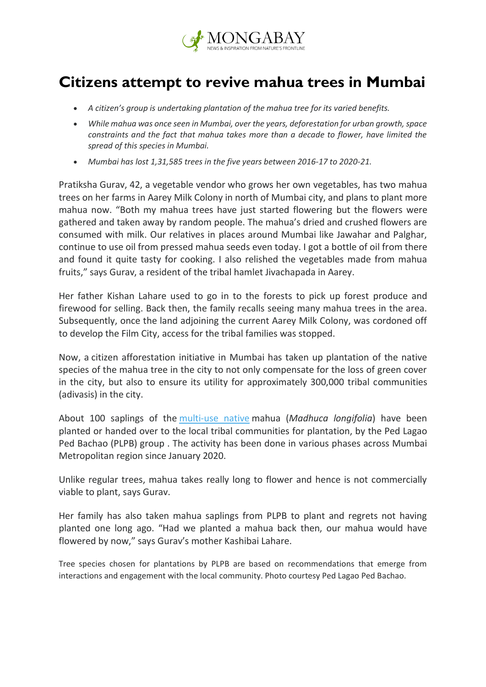

## **Citizens attempt to revive mahua trees in Mumbai**

- *A citizen's group is undertaking plantation of the mahua tree for its varied benefits.*
- *While mahua was once seen in Mumbai, over the years, deforestation for urban growth, space constraints and the fact that mahua takes more than a decade to flower, have limited the spread of this species in Mumbai.*
- *Mumbai has lost 1,31,585 trees in the five years between 2016-17 to 2020-21.*

Pratiksha Gurav, 42, a vegetable vendor who grows her own vegetables, has two mahua trees on her farms in Aarey Milk Colony in north of Mumbai city, and plans to plant more mahua now. "Both my mahua trees have just started flowering but the flowers were gathered and taken away by random people. The mahua's dried and crushed flowers are consumed with milk. Our relatives in places around Mumbai like Jawahar and Palghar, continue to use oil from pressed mahua seeds even today. I got a bottle of oil from there and found it quite tasty for cooking. I also relished the vegetables made from mahua fruits," says Gurav, a resident of the tribal hamlet Jivachapada in Aarey.

Her father Kishan Lahare used to go in to the forests to pick up forest produce and firewood for selling. Back then, the family recalls seeing many mahua trees in the area. Subsequently, once the land adjoining the current Aarey Milk Colony, was cordoned off to develop the Film City, access for the tribal families was stopped.

Now, a citizen afforestation initiative in Mumbai has taken up plantation of the native species of the mahua tree in the city to not only compensate for the loss of green cover in the city, but also to ensure its utility for approximately 300,000 tribal communities (adivasis) in the city.

About 100 saplings of the [multi-use native](https://www.livemint.com/Leisure/EPWyRaLnJ0pMvP6ZeFrh0H/The-spirit-of-mahua.html) mahua (*Madhuca longifolia*) have been planted or handed over to the local tribal communities for plantation, by the Ped Lagao Ped Bachao (PLPB) group . The activity has been done in various phases across Mumbai Metropolitan region since January 2020.

Unlike regular trees, mahua takes really long to flower and hence is not commercially viable to plant, says Gurav.

Her family has also taken mahua saplings from PLPB to plant and regrets not having planted one long ago. "Had we planted a mahua back then, our mahua would have flowered by now," says Gurav's mother Kashibai Lahare.

Tree species chosen for plantations by PLPB are based on recommendations that emerge from interactions and engagement with the local community. Photo courtesy Ped Lagao Ped Bachao.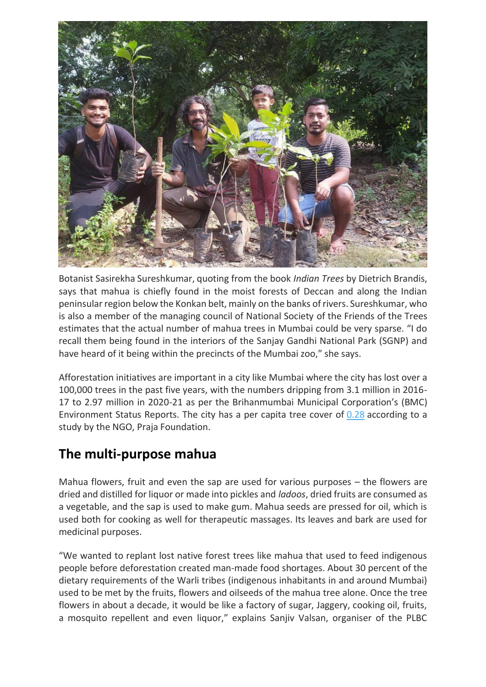

Botanist Sasirekha Sureshkumar, quoting from the book *Indian Trees* by Dietrich Brandis, says that mahua is chiefly found in the moist forests of Deccan and along the Indian peninsular region below the Konkan belt, mainly on the banks of rivers. Sureshkumar, who is also a member of the managing council of National Society of the Friends of the Trees estimates that the actual number of mahua trees in Mumbai could be very sparse. "I do recall them being found in the interiors of the Sanjay Gandhi National Park (SGNP) and have heard of it being within the precincts of the Mumbai zoo," she says.

Afforestation initiatives are important in a city like Mumbai where the city has lost over a 100,000 trees in the past five years, with the numbers dripping from 3.1 million in 2016- 17 to 2.97 million in 2020-21 as per the Brihanmumbai Municipal Corporation's (BMC) Environment Status Reports. The city has a per capita tree cover of [0.28](https://mumbai.citizenmatters.in/political-parties-promised-mumbaikars-more-open-spaces-did-they-succeed-27789) according to a study by the NGO, Praja Foundation.

## **The multi-purpose mahua**

Mahua flowers, fruit and even the sap are used for various purposes – the flowers are dried and distilled for liquor or made into pickles and *ladoos*, dried fruits are consumed as a vegetable, and the sap is used to make gum. Mahua seeds are pressed for oil, which is used both for cooking as well for therapeutic massages. Its leaves and bark are used for medicinal purposes.

"We wanted to replant lost native forest trees like mahua that used to feed indigenous people before deforestation created man-made food shortages. About 30 percent of the dietary requirements of the Warli tribes (indigenous inhabitants in and around Mumbai) used to be met by the fruits, flowers and oilseeds of the mahua tree alone. Once the tree flowers in about a decade, it would be like a factory of sugar, Jaggery, cooking oil, fruits, a mosquito repellent and even liquor," explains Sanjiv Valsan, organiser of the PLBC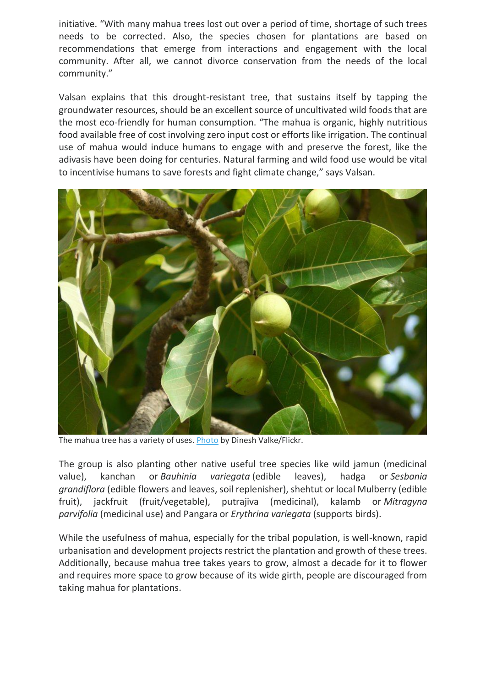initiative. "With many mahua trees lost out over a period of time, shortage of such trees needs to be corrected. Also, the species chosen for plantations are based on recommendations that emerge from interactions and engagement with the local community. After all, we cannot divorce conservation from the needs of the local community."

Valsan explains that this drought-resistant tree, that sustains itself by tapping the groundwater resources, should be an excellent source of uncultivated wild foods that are the most eco-friendly for human consumption. "The mahua is organic, highly nutritious food available free of cost involving zero input cost or efforts like irrigation. The continual use of mahua would induce humans to engage with and preserve the forest, like the adivasis have been doing for centuries. Natural farming and wild food use would be vital to incentivise humans to save forests and fight climate change," says Valsan.



The mahua tree has a variety of uses. [Photo](https://flickr.com/photos/91314344@N00/3558309725) by Dinesh Valke/Flickr.

The group is also planting other native useful tree species like wild jamun (medicinal value), kanchan or *Bauhinia variegata* (edible leaves), hadga or *Sesbania grandiflora* (edible flowers and leaves, soil replenisher), shehtut or local Mulberry (edible fruit), jackfruit (fruit/vegetable), putrajiva (medicinal), kalamb or *Mitragyna parvifolia* (medicinal use) and Pangara or *Erythrina variegata* (supports birds).

While the usefulness of mahua, especially for the tribal population, is well-known, rapid urbanisation and development projects restrict the plantation and growth of these trees. Additionally, because mahua tree takes years to grow, almost a decade for it to flower and requires more space to grow because of its wide girth, people are discouraged from taking mahua for plantations.